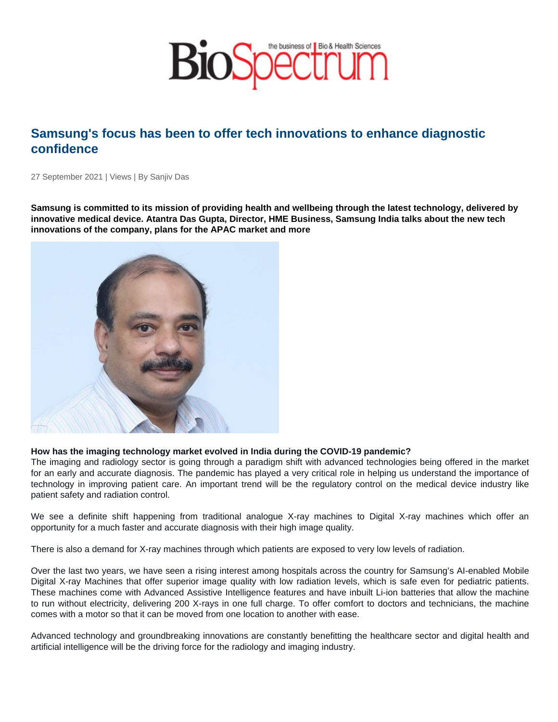# Samsung's focus has been to offer tech innovations to enhance diagnostic confidence

27 September 2021 | Views | By Sanjiv Das

Samsung is committed to its mission of providing health and wellbeing through the latest technology, delivered by innovative medical device. Atantra Das Gupta, Director, HME Business, Samsung India talks about the new tech innovations of the company, plans for the APAC market and more

How has the imaging technology market evolved in India during the COVID-19 pandemic?

The imaging and radiology sector is going through a paradigm shift with advanced technologies being offered in the market for an early and accurate diagnosis. The pandemic has played a very critical role in helping us understand the importance of technology in improving patient care. An important trend will be the regulatory control on the medical device industry like patient safety and radiation control.

We see a definite shift happening from traditional analogue X-ray machines to Digital X-ray machines which offer an opportunity for a much faster and accurate diagnosis with their high image quality.

There is also a demand for X-ray machines through which patients are exposed to very low levels of radiation.

Over the last two years, we have seen a rising interest among hospitals across the country for Samsung's AI-enabled Mobile Digital X-ray Machines that offer superior image quality with low radiation levels, which is safe even for pediatric patients. These machines come with Advanced Assistive Intelligence features and have inbuilt Li-ion batteries that allow the machine to run without electricity, delivering 200 X-rays in one full charge. To offer comfort to doctors and technicians, the machine comes with a motor so that it can be moved from one location to another with ease.

Advanced technology and groundbreaking innovations are constantly benefitting the healthcare sector and digital health and artificial intelligence will be the driving force for the radiology and imaging industry.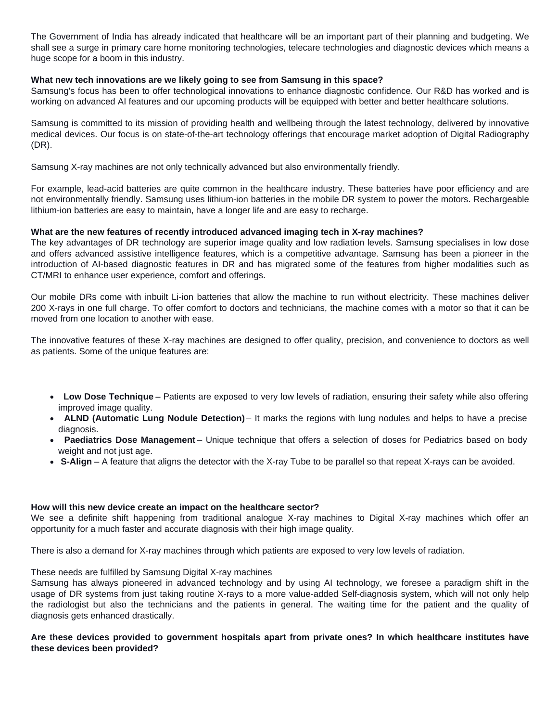The Government of India has already indicated that healthcare will be an important part of their planning and budgeting. We shall see a surge in primary care home monitoring technologies, telecare technologies and diagnostic devices which means a huge scope for a boom in this industry.

## **What new tech innovations are we likely going to see from Samsung in this space?**

Samsung's focus has been to offer technological innovations to enhance diagnostic confidence. Our R&D has worked and is working on advanced AI features and our upcoming products will be equipped with better and better healthcare solutions.

Samsung is committed to its mission of providing health and wellbeing through the latest technology, delivered by innovative medical devices. Our focus is on state-of-the-art technology offerings that encourage market adoption of Digital Radiography (DR).

Samsung X-ray machines are not only technically advanced but also environmentally friendly.

For example, lead-acid batteries are quite common in the healthcare industry. These batteries have poor efficiency and are not environmentally friendly. Samsung uses lithium-ion batteries in the mobile DR system to power the motors. Rechargeable lithium-ion batteries are easy to maintain, have a longer life and are easy to recharge.

### **What are the new features of recently introduced advanced imaging tech in X-ray machines?**

The key advantages of DR technology are superior image quality and low radiation levels. Samsung specialises in low dose and offers advanced assistive intelligence features, which is a competitive advantage. Samsung has been a pioneer in the introduction of AI-based diagnostic features in DR and has migrated some of the features from higher modalities such as CT/MRI to enhance user experience, comfort and offerings.

Our mobile DRs come with inbuilt Li-ion batteries that allow the machine to run without electricity. These machines deliver 200 X-rays in one full charge. To offer comfort to doctors and technicians, the machine comes with a motor so that it can be moved from one location to another with ease.

The innovative features of these X-ray machines are designed to offer quality, precision, and convenience to doctors as well as patients. Some of the unique features are:

- **Low Dose Technique** Patients are exposed to very low levels of radiation, ensuring their safety while also offering improved image quality.
- **ALND (Automatic Lung Nodule Detection)** It marks the regions with lung nodules and helps to have a precise diagnosis.
- **Paediatrics Dose Management** Unique technique that offers a selection of doses for Pediatrics based on body weight and not just age.
- **S-Align** A feature that aligns the detector with the X-ray Tube to be parallel so that repeat X-rays can be avoided.

### **How will this new device create an impact on the healthcare sector?**

We see a definite shift happening from traditional analogue X-ray machines to Digital X-ray machines which offer an opportunity for a much faster and accurate diagnosis with their high image quality.

There is also a demand for X-ray machines through which patients are exposed to very low levels of radiation.

### These needs are fulfilled by Samsung Digital X-ray machines

Samsung has always pioneered in advanced technology and by using AI technology, we foresee a paradigm shift in the usage of DR systems from just taking routine X-rays to a more value-added Self-diagnosis system, which will not only help the radiologist but also the technicians and the patients in general. The waiting time for the patient and the quality of diagnosis gets enhanced drastically.

### **Are these devices provided to government hospitals apart from private ones? In which healthcare institutes have these devices been provided?**